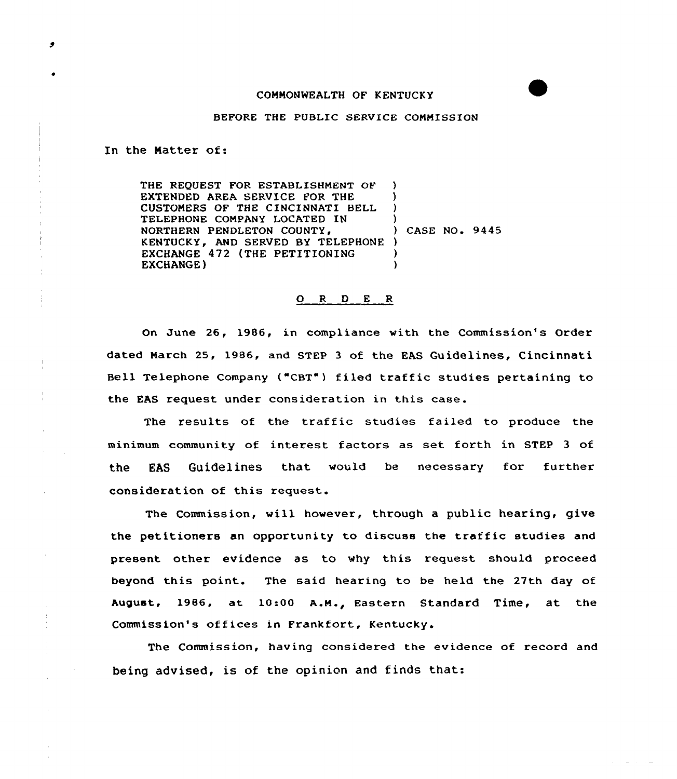## COMMONWEALTH OF KENTUCKY

## BEFORE THE PUBLIC SERVICE COMMISSION

In the Natter of:

THE REQUEST FOR ESTABLISHMENT OF EXTENDED AREA SERVICE FOR THE CUSTOMERS OF THE CINCINNATI BELL TELEPHONE COMPANY LOCATED IN NORTHERN PENDLETON COUNTY, KENTUCKY, AND SERVED BY TELEPHONE ) EXCHANGE 472 (THE PETITIONING EXCHANGE) ) ) ) )<br>) CASE NO. 9445 )  $\lambda$ 

## 0 <sup>R</sup> <sup>D</sup> <sup>E</sup> <sup>R</sup>

On June 26, 1986, in compliance with the Commission's Order dated March 25, 1986, and sTEp 3 of the EAs Guidelines, Cincinnati Bell Telephone Company ("CBT") filed traffic studies pertaining to the EAS request under consideration in this case.

The results of the traffic studies failed to produce the minimum community of interest factors as set forth in STEP 3 of the EAS GuidelineS that would be necessary for further consideration of this request.

The Commission, will however, through a public hearing, give the petitioners an opportunity to discuss the traffic studies and present other evidence as to why this request should proceed beyond this point. The said hearing to be held the 27th day of Augu<mark>st, 1986, at 10:00 A.M., Eastern Standard Time, at t</mark>he Commission's offices in Frankfort, Kentucky.

The Commission, having considered the evidence of record and being advised, is of the opinion and finds that: